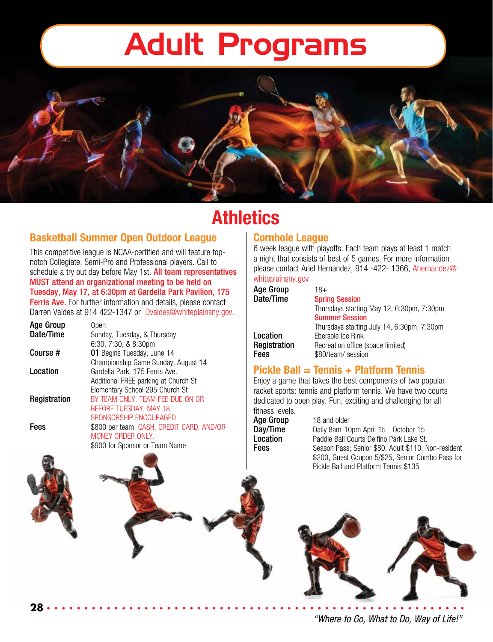

## **Athletics**

#### **Basketball Summer Open Outdoor League**

This competitive league is NCAA-certified and will feature topnotch Collegiate, Semi-Pro and Professional players. Call to schedule a try out day before May 1st. All team representatives MUST attend an organizational meeting to be held on Tuesday, May 17, at 6:30pm at Gardella Park Pavilion, 175 Ferris Ave. For further information and details, please contact Darren Valdes at 914 422-1347 or Dvaldes@whiteplainsny.gov.

| Open                                      |
|-------------------------------------------|
| Sunday, Tuesday, & Thursday               |
| $6:30, 7:30, 8.8:30$ pm                   |
| 01 Begins Tuesday, June 14                |
| Championship Game Sunday, August 14       |
| Gardella Park, 175 Ferris Ave.            |
| Additional FREE parking at Church St      |
| Elementary School 295 Church St           |
| BY TEAM ONLY. TEAM FEE DUE ON OR          |
| BEFORE TUESDAY, MAY 18,                   |
| SPONSORSHIP ENCOURAGED                    |
| \$800 per team, CASH, CREDIT CARD, AND/OR |
| MONEY ORDER ONLY.                         |
| \$900 for Sponsor or Team Name            |
|                                           |

**28**

#### **Cornhole League**

6 week league with playoffs. Each team plays at least 1 match a night that consists of best of 5 games. For more information please contact Ariel Hernandez, 914 -422- 1366, Ahernandez@ whiteplainsny.gov

| <b>Age Group</b> | $18+$                                      |
|------------------|--------------------------------------------|
| Date/Time        | <b>Spring Session</b>                      |
|                  | Thursdays starting May 12, 6:30pm, 7:30pm  |
|                  | <b>Summer Session</b>                      |
|                  | Thursdays starting July 14, 6:30pm, 7:30pm |
| Location         | Ebersole Ice Rink                          |
| Registration     | Recreation office (space limited)          |
| Fees             | \$80/team/ session                         |

#### **Pickle Ball = Tennis + Platform Tennis**

Enjoy a game that takes the best components of two popular racket sports: tennis and platform tennis. We have two courts dedicated to open play. Fun, exciting and challenging for all fitness levels.

Age Group 18 and older<br>Day/Time Daily 8am-10

Daily 8am-10pm April 15 - October 15 **Location** Paddle Ball Courts Delfino Park Lake St. Fees Season Pass; Senior \$80, Adult \$110, Non-resident \$200, Guest Coupon 5/\$25, Senior Combo Pass for Pickle Ball and Platform Tennis \$135



*"Where to Go, What to Do, Way of Life!"*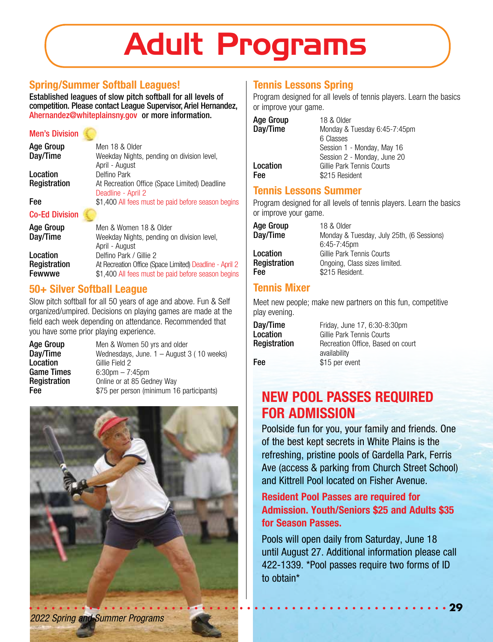#### **Spring/Summer Softball Leagues!**

Established leagues of slow pitch softball for all levels of competition. Please contact League Supervisor, Ariel Hernandez, Ahernandez@whiteplainsny.gov or more information.

#### Men's Division

| <b>Age Group</b> | Men 18 & Older                                     |
|------------------|----------------------------------------------------|
| Day/Time         | Weekday Nights, pending on division level,         |
|                  | April - August                                     |
| Location         | Delfino Park                                       |
| Registration     | At Recreation Office (Space Limited) Deadline      |
|                  | Deadline - April 2                                 |
| Fee              | \$1,400 All fees must be paid before season begins |
|                  |                                                    |

#### Co-Ed Division

| <b>Age Group</b><br>Day/Time | Men & Women 18 & Older<br>Weekday Nights, pending on division level,<br>April - August |
|------------------------------|----------------------------------------------------------------------------------------|
| Location                     | Delfino Park / Gillie 2                                                                |
| Registration                 | At Recreation Office (Space Limited) Deadline - April 2                                |
| Fewwwe                       | \$1,400 All fees must be paid before season begins                                     |

#### **50+ Silver Softball League**

Slow pitch softball for all 50 years of age and above. Fun & Self organized/umpired. Decisions on playing games are made at the field each week depending on attendance. Recommended that you have some prior playing experience.

| Age Group    | Men & Women 50 yrs and older                |
|--------------|---------------------------------------------|
| Day/Time     | Wednesdays, June. $1 -$ August 3 (10 weeks) |
| Location     | Gillie Field 2                              |
| Game Times   | $6:30$ pm $-7:45$ pm                        |
| Registration | Online or at 85 Gedney Way                  |
| Fee          | \$75 per person (minimum 16 participants)   |



#### **Tennis Lessons Spring**

Program designed for all levels of tennis players. Learn the basics or improve your game.

| <b>Age Group</b> | 18 & Older                   |
|------------------|------------------------------|
| Day/Time         | Monday & Tuesday 6:45-7:45pm |
|                  | 6 Classes                    |
|                  | Session 1 - Monday, May 16   |
|                  | Session 2 - Monday, June 20  |
| Location         | Gillie Park Tennis Courts    |
| Fee              | \$215 Resident               |

#### **Tennis Lessons Summer**

Program designed for all levels of tennis players. Learn the basics or improve your game.

| 18 & Older                                |
|-------------------------------------------|
| Monday & Tuesday, July 25th, (6 Sessions) |
| $6:45 - 7:45$ pm                          |
| Gillie Park Tennis Courts                 |
| Ongoing, Class sizes limited.             |
| \$215 Resident.                           |
|                                           |

#### **Tennis Mixer**

Meet new people; make new partners on this fun, competitive play evening.

| Day/Time     | Friday, June 17, 6:30-8:30pm                      |
|--------------|---------------------------------------------------|
| Location     | Gillie Park Tennis Courts                         |
| Registration | Recreation Office, Based on court<br>availability |
| Fee          | \$15 per event                                    |

## **NEW POOL PASSES REQUIRED FOR ADMISSION**

Poolside fun for you, your family and friends. One of the best kept secrets in White Plains is the refreshing, pristine pools of Gardella Park, Ferris Ave (access & parking from Church Street School) and Kittrell Pool located on Fisher Avenue.

#### **Resident Pool Passes are required for Admission. Youth/Seniors \$25 and Adults \$35 for Season Passes.**

Pools will open daily from Saturday, June 18 until August 27. Additional information please call 422-1339. \*Pool passes require two forms of ID to obtain\*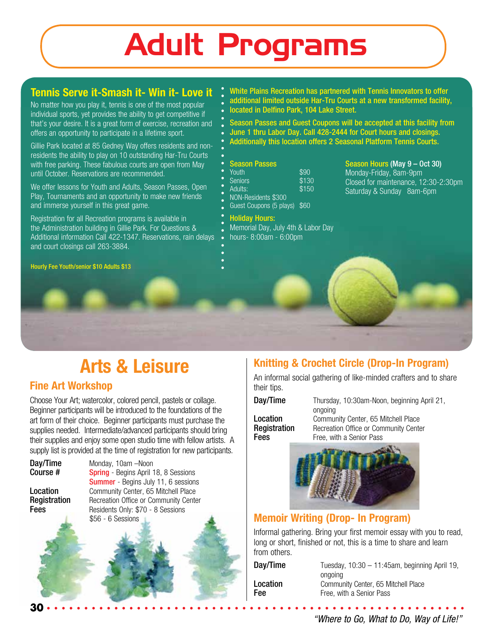### **Tennis Serve it-Smash it- Win it- Love it**

No matter how you play it, tennis is one of the most popular individual sports, yet provides the ability to get competitive if that's your desire. It is a great form of exercise, recreation and offers an opportunity to participate in a lifetime sport.

Gillie Park located at 85 Gedney Way offers residents and nonresidents the ability to play on 10 outstanding Har-Tru Courts with free parking. These fabulous courts are open from May until October. Reservations are recommended.

We offer lessons for Youth and Adults, Season Passes, Open Play, Tournaments and an opportunity to make new friends and immerse yourself in this great game.

Registration for all Recreation programs is available in the Administration building in Gillie Park. For Questions & Additional information Call 422-1347. Reservations, rain delays and court closings call 263-3884.

Hourly Fee Youth/senior \$10 Adults \$13

#### White Plains Recreation has partnered with Tennis Innovators to offer additional limited outside Har-Tru Courts at a new transformed facility,

located in Delfino Park, 104 Lake Street.

- Season Passes and Guest Coupons will be accepted at this facility from
- June 1 thru Labor Day. Call 428-2444 for Court hours and closings.
- Additionally this location offers 2 Seasonal Platform Tennis Courts.

#### Season Passes

- youth \$90<br>Seniors \$130
- **Seniors**
- Adults: \$150
	- NON-Residents \$300
- Guest Coupons (5 plays) \$60

#### Holiday Hours:

- Memorial Day, July 4th & Labor Day
- hours- 8:00am 6:00pm

#### Season Hours (May 9 – Oct 30) Monday-Friday, 8am-9pm Closed for maintenance, 12:30-2:30pm

Saturday & Sunday 8am-6pm

## **Arts & Leisure**

#### **Fine Art Workshop**

Choose Your Art; watercolor, colored pencil, pastels or collage. Beginner participants will be introduced to the foundations of the art form of their choice. Beginner participants must purchase the supplies needed. Intermediate/advanced participants should bring their supplies and enjoy some open studio time with fellow artists. A supply list is provided at the time of registration for new participants.

**Day/Time** Monday, 10am –Noon<br>**Course # Spring** - Begins April 1 **Spring** - Begins April 18, 8 Sessions Summer - Begins July 11, 6 sessions **Location** Community Center, 65 Mitchell Place<br> **Registration** Recreation Office or Community Cente Recreation Office or Community Center **Fees** Residents Only: \$70 - 8 Sessions

\$56 - 6 Sessions

### **Knitting & Crochet Circle (Drop-In Program)**

An informal social gathering of like-minded crafters and to share their tips.

Day/Time Thursday, 10:30am-Noon, beginning April 21, ongoing **Location** Community Center, 65 Mitchell Place<br> **Registration** Recreation Office or Community Cente Recreation Office or Community Center **Fees** Free, with a Senior Pass



#### **Memoir Writing (Drop- In Program)**

Informal gathering. Bring your first memoir essay with you to read, long or short, finished or not, this is a time to share and learn from others.

| Tuesday, $10:30 - 11:45$ am, beginning April 19, |
|--------------------------------------------------|
|                                                  |
|                                                  |
|                                                  |
|                                                  |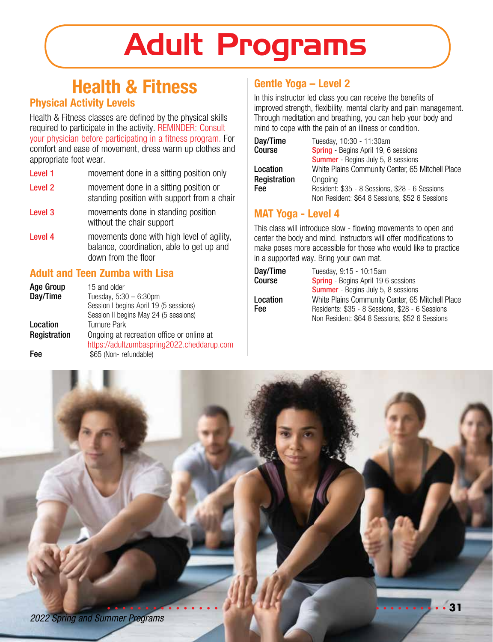## **Health & Fitness**

#### **Physical Activity Levels**

Health & Fitness classes are defined by the physical skills required to participate in the activity. REMINDER: Consult your physician before participating in a fitness program. For comfort and ease of movement, dress warm up clothes and appropriate foot wear.

- Level 1 movement done in a sitting position only
- Level 2 movement done in a sitting position or standing position with support from a chair
- Level 3 movements done in standing position without the chair support
- Level 4 movements done with high level of agility, balance, coordination, able to get up and down from the floor

#### **Adult and Teen Zumba with Lisa**

| Age Group    | 15 and older                               |
|--------------|--------------------------------------------|
| Day/Time     | Tuesday, $5:30 - 6:30$ pm                  |
|              | Session I begins April 19 (5 sessions)     |
|              | Session II begins May 24 (5 sessions)      |
| Location     | <b>Turnure Park</b>                        |
| Registration | Ongoing at recreation office or online at  |
|              | https://adultzumbaspring2022.cheddarup.com |
| Fee          | \$65 (Non-refundable)                      |

#### **Gentle Yoga – Level 2**

In this instructor led class you can receive the benefits of improved strength, flexibility, mental clarity and pain management. Through meditation and breathing, you can help your body and mind to cope with the pain of an illness or condition.

| Day/Time<br>Course | Tuesday, 10:30 - 11:30am<br>Spring - Begins April 19, 6 sessions |
|--------------------|------------------------------------------------------------------|
|                    | <b>Summer</b> - Begins July 5, 8 sessions                        |
| Location           | White Plains Community Center, 65 Mitchell Place                 |
| Registration       | Ongoing                                                          |
| Fee                | Resident: \$35 - 8 Sessions, \$28 - 6 Sessions                   |
|                    | Non Resident: \$64 8 Sessions, \$52 6 Sessions                   |

#### **MAT Yoga - Level 4**

This class will introduce slow - flowing movements to open and center the body and mind. Instructors will offer modifications to make poses more accessible for those who would like to practice in a supported way. Bring your own mat.

| Tuesday, 9:15 - 10:15am                                                                           |
|---------------------------------------------------------------------------------------------------|
| <b>Spring</b> - Begins April 19 6 sessions                                                        |
| <b>Summer</b> - Begins July 5, 8 sessions                                                         |
| White Plains Community Center, 65 Mitchell Place                                                  |
| Residents: \$35 - 8 Sessions, \$28 - 6 Sessions<br>Non Resident: \$64 8 Sessions, \$52 6 Sessions |
|                                                                                                   |

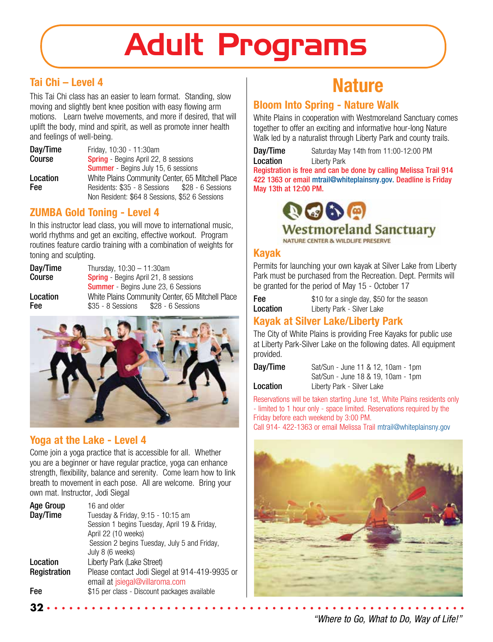#### **Tai Chi – Level 4**

This Tai Chi class has an easier to learn format. Standing, slow moving and slightly bent knee position with easy flowing arm motions. Learn twelve movements, and more if desired, that will uplift the body, mind and spirit, as well as promote inner health and feelings of well-being.

**Day/Time** Friday, 10:30 - 11:30am<br>Course **Spring** - Begins April 22 **Spring** - Begins April 22, 8 sessions Summer - Begins July 15, 6 sessions Location White Plains Community Center, 65 Mitchell Place Residents: \$35 - 8 Sessions Non Resident: \$64 8 Sessions, \$52 6 Sessions

#### **ZUMBA Gold Toning - Level 4**

In this instructor lead class, you will move to international music, world rhythms and get an exciting, effective workout. Program routines feature cardio training with a combination of weights for toning and sculpting.

| Day/Time | Thursday, $10:30 - 11:30$ am                     |  |
|----------|--------------------------------------------------|--|
| Course   | <b>Spring</b> - Begins April 21, 8 sessions      |  |
|          | <b>Summer</b> - Begins June 23, 6 Sessions       |  |
| Location | White Plains Community Center, 65 Mitchell Place |  |
| Fee      | \$28 - 6 Sessions<br>\$35 - 8 Sessions           |  |



#### **Yoga at the Lake - Level 4**

**32**

Come join a yoga practice that is accessible for all. Whether you are a beginner or have regular practice, yoga can enhance strength, flexibility, balance and serenity. Come learn how to link breath to movement in each pose. All are welcome. Bring your own mat. Instructor, Jodi Siegal

| <b>Age Group</b> | 16 and older                                  |
|------------------|-----------------------------------------------|
| Day/Time         | Tuesday & Friday, 9:15 - 10:15 am             |
|                  | Session 1 begins Tuesday, April 19 & Friday,  |
|                  | April 22 (10 weeks)                           |
|                  | Session 2 begins Tuesday, July 5 and Friday,  |
|                  | July 8 (6 weeks)                              |
| Location         | Liberty Park (Lake Street)                    |
| Registration     | Please contact Jodi Siegel at 914-419-9935 or |
|                  | email at <i>jsiegal@villaroma.com</i>         |
| Fee              | \$15 per class - Discount packages available  |

# **Nature**

#### **Bloom Into Spring - Nature Walk**

White Plains in cooperation with Westmoreland Sanctuary comes together to offer an exciting and informative hour-long Nature Walk led by a naturalist through Liberty Park and county trails.

Day/Time Saturday May 14th from 11:00-12:00 PM Location Liberty Park

Registration is free and can be done by calling Melissa Trail 914 422 1363 or email mtrail@whiteplainsny.gov. Deadline is Friday May 13th at 12:00 PM.



### **Westmoreland Sanctuary**

NATURE CENTER & WILDLIFE PRESERVE

#### **Kayak**

Permits for launching your own kayak at Silver Lake from Liberty Park must be purchased from the Recreation. Dept. Permits will be granted for the period of May 15 - October 17

**Fee** \$10 for a single day, \$50 for the season Location Liberty Park - Silver Lake

#### **Kayak at Silver Lake/Liberty Park**

The City of White Plains is providing Free Kayaks for public use at Liberty Park-Silver Lake on the following dates. All equipment provided.

**Day/Time** Sat/Sun - June 11 & 12, 10am - 1pm Sat/Sun - June 18 & 19, 10am - 1pm **Location** Liberty Park - Silver Lake

Reservations will be taken starting June 1st, White Plains residents only - limited to 1 hour only - space limited. Reservations required by the Friday before each weekend by 3:00 PM.

Call 914- 422-1363 or email Melissa Trail mtrail@whiteplainsny.gov